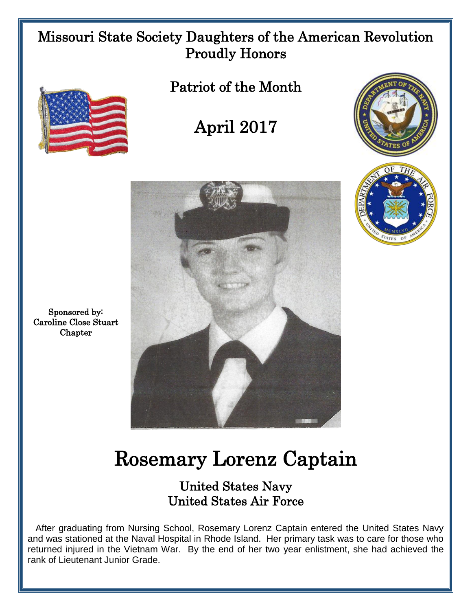## Missouri State Society Daughters of the American Revolution Proudly Honors



Patriot of the Month

April 2017





Sponsored by: Caroline Close Stuart **Chapter** 

## Rosemary Lorenz Captain

## United States Navy United States Air Force

 After graduating from Nursing School, Rosemary Lorenz Captain entered the United States Navy and was stationed at the Naval Hospital in Rhode Island. Her primary task was to care for those who returned injured in the Vietnam War. By the end of her two year enlistment, she had achieved the rank of Lieutenant Junior Grade.